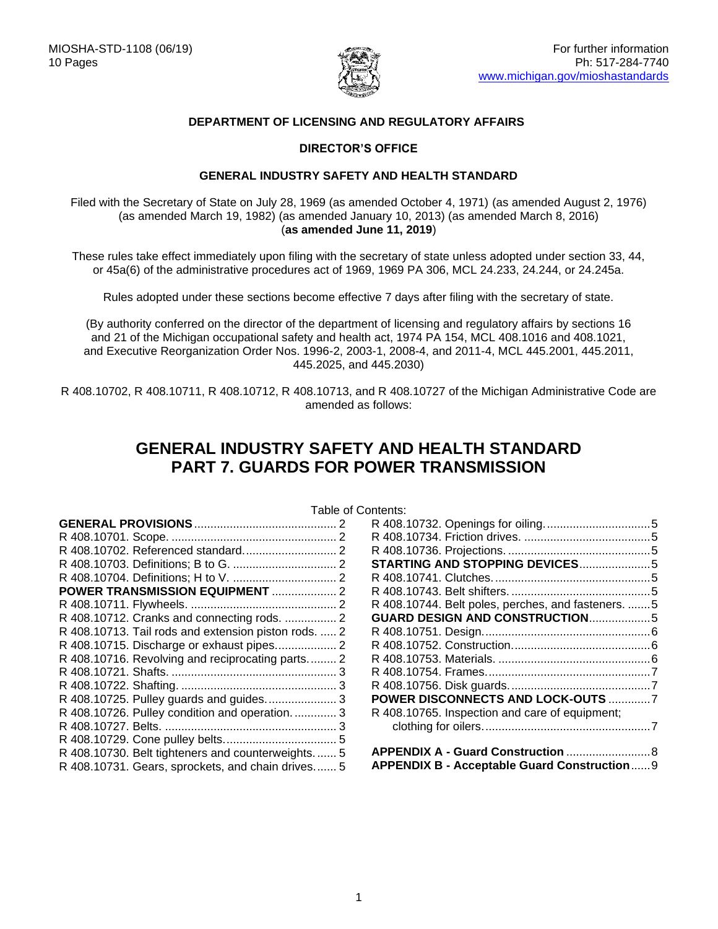

# **DEPARTMENT OF LICENSING AND REGULATORY AFFAIRS**

# **DIRECTOR'S OFFICE**

## **GENERAL INDUSTRY SAFETY AND HEALTH STANDARD**

Filed with the Secretary of State on July 28, 1969 (as amended October 4, 1971) (as amended August 2, 1976) (as amended March 19, 1982) (as amended January 10, 2013) (as amended March 8, 2016) (**as amended June 11, 2019**)

These rules take effect immediately upon filing with the secretary of state unless adopted under section 33, 44, or 45a(6) of the administrative procedures act of 1969, 1969 PA 306, MCL 24.233, 24.244, or 24.245a.

Rules adopted under these sections become effective 7 days after filing with the secretary of state.

(By authority conferred on the director of the department of licensing and regulatory affairs by sections 16 and 21 of the Michigan occupational safety and health act, 1974 PA 154, MCL 408.1016 and 408.1021, and Executive Reorganization Order Nos. 1996-2, 2003-1, 2008-4, and 2011-4, MCL 445.2001, 445.2011, 445.2025, and 445.2030)

R 408.10702, R 408.10711, R 408.10712, R 408.10713, and R 408.10727 of the Michigan Administrative Code are amended as follows:

# **GENERAL INDUSTRY SAFETY AND HEALTH STANDARD PART 7. GUARDS FOR POWER TRANSMISSION**

<span id="page-0-0"></span>

|                                                      | i uviv u |
|------------------------------------------------------|----------|
|                                                      |          |
|                                                      |          |
|                                                      |          |
|                                                      |          |
|                                                      |          |
| POWER TRANSMISSION EQUIPMENT  2                      |          |
|                                                      |          |
|                                                      |          |
| R 408.10713. Tail rods and extension piston rods.  2 |          |
|                                                      |          |
| R 408.10716. Revolving and reciprocating parts 2     |          |
|                                                      |          |
|                                                      |          |
|                                                      |          |
| R 408.10726. Pulley condition and operation.  3      |          |
|                                                      |          |
|                                                      |          |
| R 408.10730. Belt tighteners and counterweights.  5  |          |
| R 408.10731. Gears, sprockets, and chain drives 5    |          |

Table of Contents:

| STARTING AND STOPPING DEVICES5                     |  |
|----------------------------------------------------|--|
|                                                    |  |
|                                                    |  |
| R 408.10744. Belt poles, perches, and fasteners. 5 |  |
| GUARD DESIGN AND CONSTRUCTION5                     |  |
|                                                    |  |
|                                                    |  |
|                                                    |  |
|                                                    |  |
|                                                    |  |
| POWER DISCONNECTS AND LOCK-OUTS 7                  |  |
| R 408.10765. Inspection and care of equipment;     |  |
|                                                    |  |
|                                                    |  |
|                                                    |  |
| APPENDIX B - Acceptable Guard Construction 9       |  |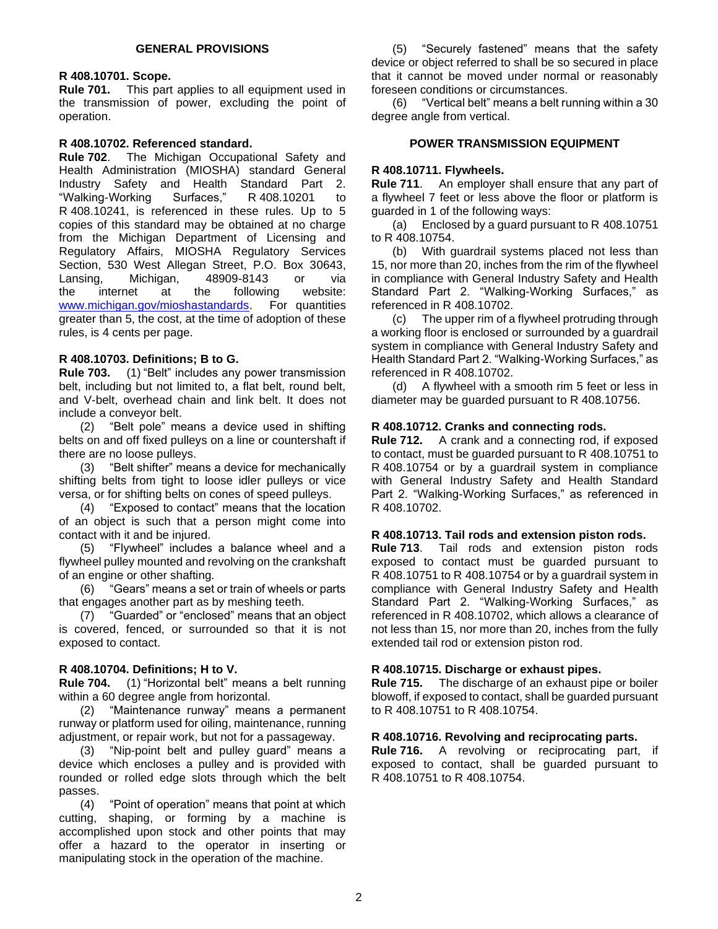# <span id="page-1-0"></span>**R 408.10701. Scope.**

**Rule 701.** This part applies to all equipment used in the transmission of power, excluding the point of operation.

## <span id="page-1-1"></span>**R 408.10702. Referenced standard.**

**Rule 702**. The Michigan Occupational Safety and Health Administration (MIOSHA) standard General Industry Safety and Health Standard Part 2. "Walking-Working Surfaces," R 408.10201 to R 408.10241, is referenced in these rules. Up to 5 copies of this standard may be obtained at no charge from the Michigan Department of Licensing and Regulatory Affairs, MIOSHA Regulatory Services Section, 530 West Allegan Street, P.O. Box 30643, Lansing, Michigan, 48909-8143 or via the internet at the following website: [www.michigan.gov/mioshastandards.](http://www.michigan.gov/mioshastandards) For quantities greater than 5, the cost, at the time of adoption of these rules, is 4 cents per page.

# <span id="page-1-2"></span>**R 408.10703. Definitions; B to G.**

**Rule 703.** (1) "Belt" includes any power transmission belt, including but not limited to, a flat belt, round belt, and V-belt, overhead chain and link belt. It does not include a conveyor belt.

(2) "Belt pole" means a device used in shifting belts on and off fixed pulleys on a line or countershaft if there are no loose pulleys.

(3) "Belt shifter" means a device for mechanically shifting belts from tight to loose idler pulleys or vice versa, or for shifting belts on cones of speed pulleys.

(4) "Exposed to contact" means that the location of an object is such that a person might come into contact with it and be injured.

(5) "Flywheel" includes a balance wheel and a flywheel pulley mounted and revolving on the crankshaft of an engine or other shafting.

(6) "Gears" means a set or train of wheels or parts that engages another part as by meshing teeth.

(7) "Guarded" or "enclosed" means that an object is covered, fenced, or surrounded so that it is not exposed to contact.

# <span id="page-1-3"></span>**R 408.10704. Definitions; H to V.**

**Rule 704.** (1) "Horizontal belt" means a belt running within a 60 degree angle from horizontal.

(2) "Maintenance runway" means a permanent runway or platform used for oiling, maintenance, running adjustment, or repair work, but not for a passageway.

(3) "Nip-point belt and pulley guard" means a device which encloses a pulley and is provided with rounded or rolled edge slots through which the belt passes.

(4) "Point of operation" means that point at which cutting, shaping, or forming by a machine is accomplished upon stock and other points that may offer a hazard to the operator in inserting or manipulating stock in the operation of the machine.

(5) "Securely fastened" means that the safety device or object referred to shall be so secured in place that it cannot be moved under normal or reasonably foreseen conditions or circumstances.

(6) "Vertical belt" means a belt running within a 30 degree angle from vertical.

## **POWER TRANSMISSION EQUIPMENT**

# <span id="page-1-5"></span><span id="page-1-4"></span>**R 408.10711. Flywheels.**

**Rule 711**. An employer shall ensure that any part of a flywheel 7 feet or less above the floor or platform is guarded in 1 of the following ways:

(a) Enclosed by a guard pursuant to R 408.10751 to R 408.10754.

(b) With guardrail systems placed not less than 15, nor more than 20, inches from the rim of the flywheel in compliance with General Industry Safety and Health Standard Part 2. "Walking-Working Surfaces," as referenced in R 408.10702.

(c) The upper rim of a flywheel protruding through a working floor is enclosed or surrounded by a guardrail system in compliance with General Industry Safety and Health Standard Part 2. "Walking-Working Surfaces," as referenced in R 408.10702.

(d) A flywheel with a smooth rim 5 feet or less in diameter may be guarded pursuant to R 408.10756.

# <span id="page-1-6"></span>**R 408.10712. Cranks and connecting rods.**

**Rule 712.** A crank and a connecting rod, if exposed to contact, must be guarded pursuant to R 408.10751 to R 408.10754 or by a guardrail system in compliance with General Industry Safety and Health Standard Part 2. "Walking-Working Surfaces," as referenced in R 408.10702.

#### <span id="page-1-7"></span>**R 408.10713. Tail rods and extension piston rods.**

**Rule 713**. Tail rods and extension piston rods exposed to contact must be guarded pursuant to R 408.10751 to R 408.10754 or by a guardrail system in compliance with General Industry Safety and Health Standard Part 2. "Walking-Working Surfaces," as referenced in R 408.10702, which allows a clearance of not less than 15, nor more than 20, inches from the fully extended tail rod or extension piston rod.

#### <span id="page-1-8"></span>**R 408.10715. Discharge or exhaust pipes.**

**Rule 715.** The discharge of an exhaust pipe or boiler blowoff, if exposed to contact, shall be guarded pursuant to R 408.10751 to R 408.10754.

#### <span id="page-1-9"></span>**R 408.10716. Revolving and reciprocating parts.**

<span id="page-1-10"></span>**Rule 716.** A revolving or reciprocating part, if exposed to contact, shall be guarded pursuant to R 408.10751 to R 408.10754.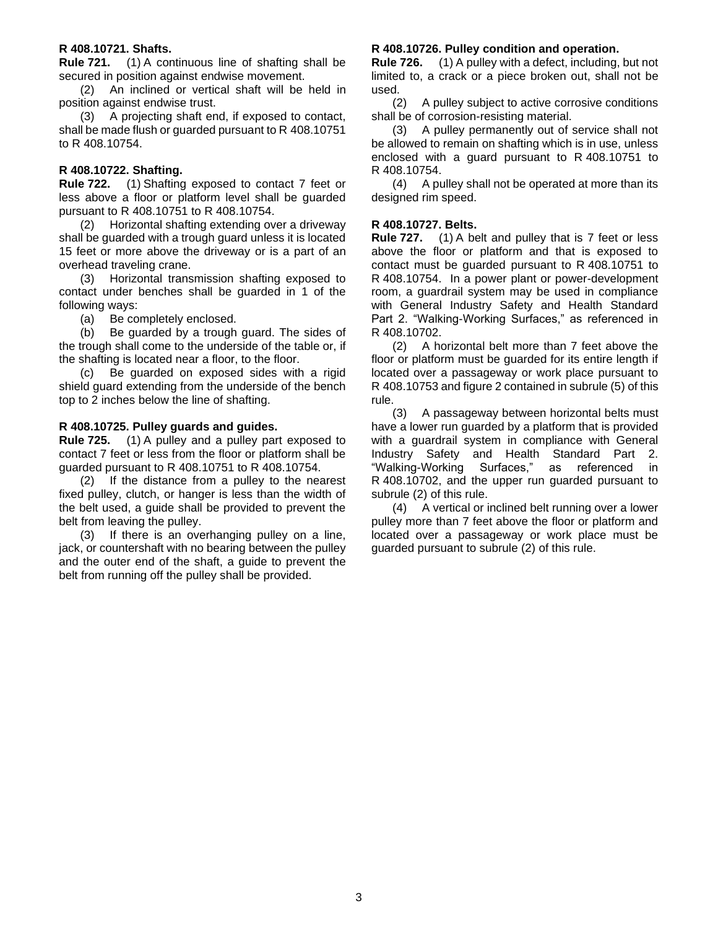#### **R 408.10721. Shafts.**

**Rule 721.** (1) A continuous line of shafting shall be secured in position against endwise movement.

(2) An inclined or vertical shaft will be held in position against endwise trust.

(3) A projecting shaft end, if exposed to contact, shall be made flush or guarded pursuant to R 408.10751 to R 408.10754.

#### <span id="page-2-0"></span>**R 408.10722. Shafting.**

**Rule 722.** (1) Shafting exposed to contact 7 feet or less above a floor or platform level shall be guarded pursuant to R 408.10751 to R 408.10754.

(2) Horizontal shafting extending over a driveway shall be guarded with a trough guard unless it is located 15 feet or more above the driveway or is a part of an overhead traveling crane.

(3) Horizontal transmission shafting exposed to contact under benches shall be guarded in 1 of the following ways:

(a) Be completely enclosed.

(b) Be guarded by a trough guard. The sides of the trough shall come to the underside of the table or, if the shafting is located near a floor, to the floor.

(c) Be guarded on exposed sides with a rigid shield guard extending from the underside of the bench top to 2 inches below the line of shafting.

#### <span id="page-2-1"></span>**R 408.10725. Pulley guards and guides.**

**Rule 725.** (1) A pulley and a pulley part exposed to contact 7 feet or less from the floor or platform shall be guarded pursuant to R 408.10751 to R 408.10754.

(2) If the distance from a pulley to the nearest fixed pulley, clutch, or hanger is less than the width of the belt used, a guide shall be provided to prevent the belt from leaving the pulley.

(3) If there is an overhanging pulley on a line, jack, or countershaft with no bearing between the pulley and the outer end of the shaft, a guide to prevent the belt from running off the pulley shall be provided.

#### <span id="page-2-2"></span>**R 408.10726. Pulley condition and operation.**

**Rule 726.** (1) A pulley with a defect, including, but not limited to, a crack or a piece broken out, shall not be used.

(2) A pulley subject to active corrosive conditions shall be of corrosion-resisting material.

(3) A pulley permanently out of service shall not be allowed to remain on shafting which is in use, unless enclosed with a guard pursuant to R 408.10751 to R 408.10754.

(4) A pulley shall not be operated at more than its designed rim speed.

#### <span id="page-2-3"></span>**R 408.10727. Belts.**

**Rule 727.** (1) A belt and pulley that is 7 feet or less above the floor or platform and that is exposed to contact must be guarded pursuant to R 408.10751 to R 408.10754. In a power plant or power-development room, a guardrail system may be used in compliance with General Industry Safety and Health Standard Part 2. "Walking-Working Surfaces," as referenced in R 408.10702.

(2) A horizontal belt more than 7 feet above the floor or platform must be guarded for its entire length if located over a passageway or work place pursuant to R 408.10753 and figure 2 contained in subrule (5) of this rule.

(3) A passageway between horizontal belts must have a lower run guarded by a platform that is provided with a guardrail system in compliance with General Industry Safety and Health Standard Part 2. "Walking-Working Surfaces," as referenced in R 408.10702, and the upper run guarded pursuant to subrule (2) of this rule.

(4) A vertical or inclined belt running over a lower pulley more than 7 feet above the floor or platform and located over a passageway or work place must be guarded pursuant to subrule (2) of this rule.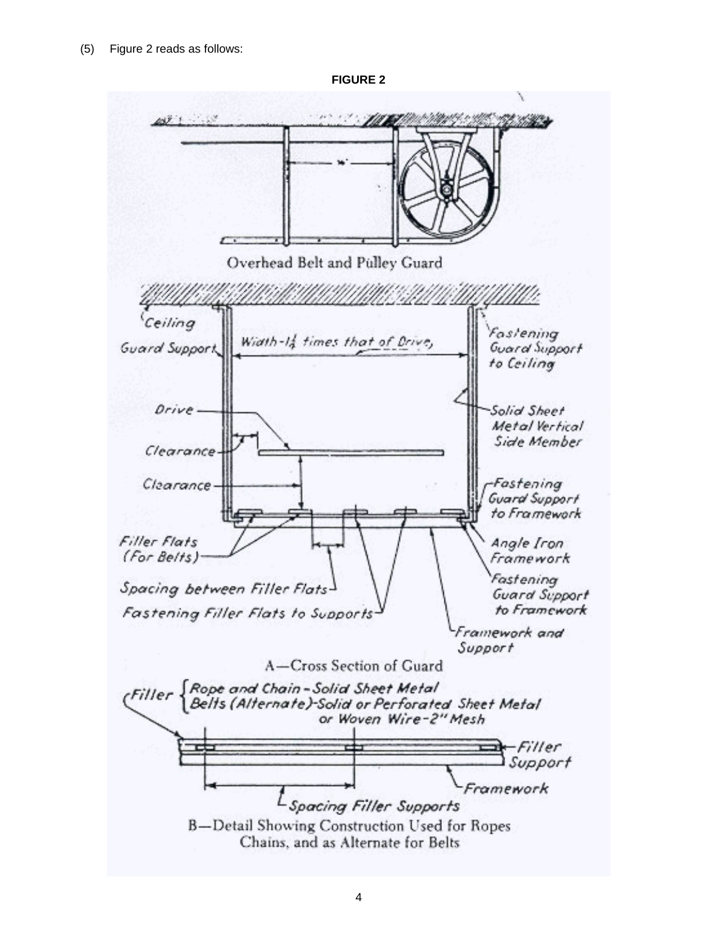

**FIGURE 2**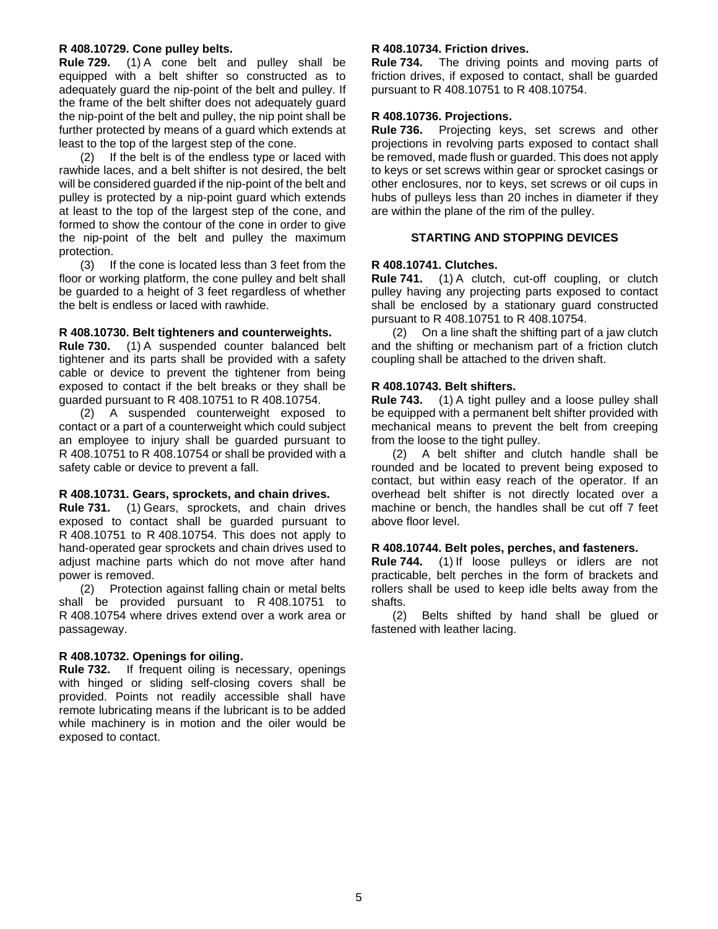#### <span id="page-4-0"></span>**R 408.10729. Cone pulley belts.**

**Rule 729.** (1) A cone belt and pulley shall be equipped with a belt shifter so constructed as to adequately guard the nip-point of the belt and pulley. If the frame of the belt shifter does not adequately guard the nip-point of the belt and pulley, the nip point shall be further protected by means of a guard which extends at least to the top of the largest step of the cone.

(2) If the belt is of the endless type or laced with rawhide laces, and a belt shifter is not desired, the belt will be considered guarded if the nip-point of the belt and pulley is protected by a nip-point guard which extends at least to the top of the largest step of the cone, and formed to show the contour of the cone in order to give the nip-point of the belt and pulley the maximum protection.

(3) If the cone is located less than 3 feet from the floor or working platform, the cone pulley and belt shall be guarded to a height of 3 feet regardless of whether the belt is endless or laced with rawhide.

#### <span id="page-4-1"></span>**R 408.10730. Belt tighteners and counterweights.**

**Rule 730.** (1) A suspended counter balanced belt tightener and its parts shall be provided with a safety cable or device to prevent the tightener from being exposed to contact if the belt breaks or they shall be guarded pursuant to R 408.10751 to R 408.10754.

(2) A suspended counterweight exposed to contact or a part of a counterweight which could subject an employee to injury shall be guarded pursuant to R 408.10751 to R 408.10754 or shall be provided with a safety cable or device to prevent a fall.

#### <span id="page-4-2"></span>**R 408.10731. Gears, sprockets, and chain drives.**

**Rule 731.** (1) Gears, sprockets, and chain drives exposed to contact shall be guarded pursuant to R 408.10751 to R 408.10754. This does not apply to hand-operated gear sprockets and chain drives used to adjust machine parts which do not move after hand power is removed.

(2) Protection against falling chain or metal belts shall be provided pursuant to R 408.10751 to R 408.10754 where drives extend over a work area or passageway.

#### <span id="page-4-3"></span>**R 408.10732. Openings for oiling.**

<span id="page-4-4"></span>**Rule 732.** If frequent oiling is necessary, openings with hinged or sliding self-closing covers shall be provided. Points not readily accessible shall have remote lubricating means if the lubricant is to be added while machinery is in motion and the oiler would be exposed to contact.

#### **R 408.10734. Friction drives.**

**Rule 734.** The driving points and moving parts of friction drives, if exposed to contact, shall be guarded pursuant to R 408.10751 to R 408.10754.

#### <span id="page-4-5"></span>**R 408.10736. Projections.**

**Rule 736.** Projecting keys, set screws and other projections in revolving parts exposed to contact shall be removed, made flush or guarded. This does not apply to keys or set screws within gear or sprocket casings or other enclosures, nor to keys, set screws or oil cups in hubs of pulleys less than 20 inches in diameter if they are within the plane of the rim of the pulley.

# **STARTING AND STOPPING DEVICES**

#### <span id="page-4-7"></span><span id="page-4-6"></span>**R 408.10741. Clutches.**

**Rule 741.** (1) A clutch, cut-off coupling, or clutch pulley having any projecting parts exposed to contact shall be enclosed by a stationary guard constructed pursuant to R 408.10751 to R 408.10754.

(2) On a line shaft the shifting part of a jaw clutch and the shifting or mechanism part of a friction clutch coupling shall be attached to the driven shaft.

#### <span id="page-4-8"></span>**R 408.10743. Belt shifters.**

**Rule 743.** (1) A tight pulley and a loose pulley shall be equipped with a permanent belt shifter provided with mechanical means to prevent the belt from creeping from the loose to the tight pulley.

(2) A belt shifter and clutch handle shall be rounded and be located to prevent being exposed to contact, but within easy reach of the operator. If an overhead belt shifter is not directly located over a machine or bench, the handles shall be cut off 7 feet above floor level.

#### <span id="page-4-9"></span>**R 408.10744. Belt poles, perches, and fasteners.**

**Rule 744.** (1) If loose pulleys or idlers are not practicable, belt perches in the form of brackets and rollers shall be used to keep idle belts away from the shafts.

<span id="page-4-10"></span>(2) Belts shifted by hand shall be glued or fastened with leather lacing.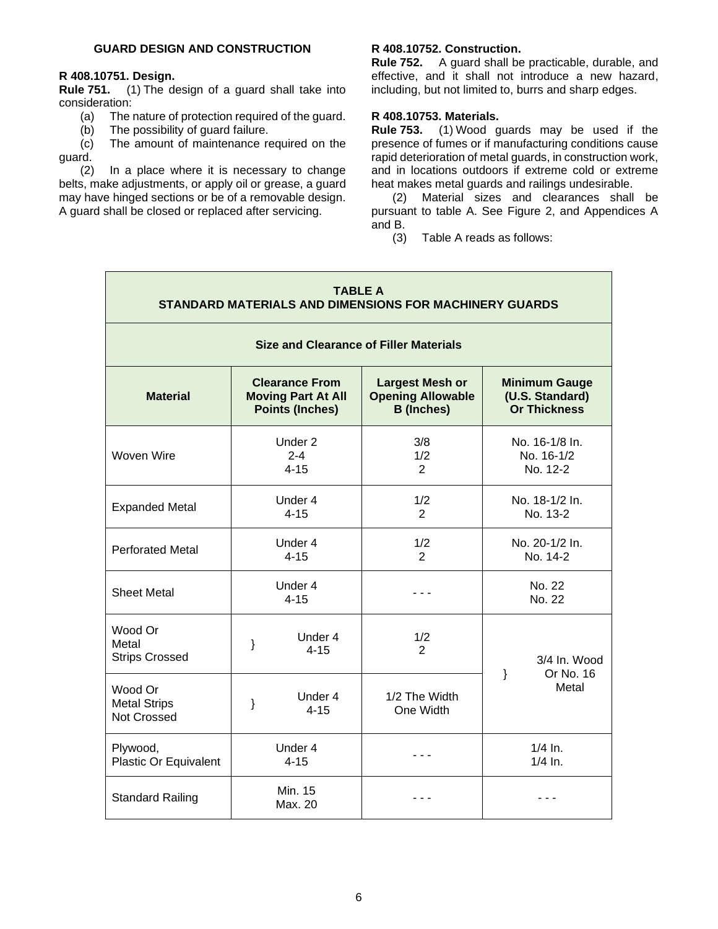# <span id="page-5-0"></span>**R 408.10751. Design.**

**Rule 751.** (1) The design of a guard shall take into consideration:

- (a) The nature of protection required of the guard.
- (b) The possibility of guard failure.

(c) The amount of maintenance required on the guard.

<span id="page-5-1"></span>(2) In a place where it is necessary to change belts, make adjustments, or apply oil or grease, a guard may have hinged sections or be of a removable design. A guard shall be closed or replaced after servicing.

# **R 408.10752. Construction.**

**Rule 752.** A guard shall be practicable, durable, and effective, and it shall not introduce a new hazard, including, but not limited to, burrs and sharp edges.

# <span id="page-5-2"></span>**R 408.10753. Materials.**

**Rule 753.** (1) Wood guards may be used if the presence of fumes or if manufacturing conditions cause rapid deterioration of metal guards, in construction work, and in locations outdoors if extreme cold or extreme heat makes metal guards and railings undesirable.

(2) Material sizes and clearances shall be pursuant to table A. See Figure 2, and Appendices A and B.

(3) Table A reads as follows:

| <b>TABLE A</b><br>STANDARD MATERIALS AND DIMENSIONS FOR MACHINERY GUARDS |                                |                                                                              |                                                                         |                                                                |  |  |
|--------------------------------------------------------------------------|--------------------------------|------------------------------------------------------------------------------|-------------------------------------------------------------------------|----------------------------------------------------------------|--|--|
| <b>Size and Clearance of Filler Materials</b>                            |                                |                                                                              |                                                                         |                                                                |  |  |
| <b>Material</b>                                                          |                                | <b>Clearance From</b><br><b>Moving Part At All</b><br><b>Points (Inches)</b> | <b>Largest Mesh or</b><br><b>Opening Allowable</b><br><b>B</b> (Inches) | <b>Minimum Gauge</b><br>(U.S. Standard)<br><b>Or Thickness</b> |  |  |
| Woven Wire                                                               | Under 2<br>$2 - 4$<br>$4 - 15$ |                                                                              | 3/8<br>1/2<br>2                                                         | No. 16-1/8 In.<br>No. 16-1/2<br>No. 12-2                       |  |  |
| <b>Expanded Metal</b>                                                    | Under 4<br>$4 - 15$            |                                                                              | 1/2<br>$\overline{2}$                                                   | No. 18-1/2 In.<br>No. 13-2                                     |  |  |
| <b>Perforated Metal</b>                                                  | Under 4<br>$4 - 15$            |                                                                              | 1/2<br>$\overline{2}$                                                   | No. 20-1/2 In.<br>No. 14-2                                     |  |  |
| <b>Sheet Metal</b>                                                       | Under 4<br>$4 - 15$            |                                                                              |                                                                         | No. 22<br>No. 22                                               |  |  |
| Wood Or<br>Metal<br><b>Strips Crossed</b>                                | ł                              | Under 4<br>$4 - 15$                                                          | 1/2<br>2                                                                | 3/4 In. Wood<br>Or No. 16<br>$\}$<br>Metal                     |  |  |
| Wood Or<br><b>Metal Strips</b><br>Not Crossed                            | ł                              | Under 4<br>$4 - 15$                                                          | 1/2 The Width<br>One Width                                              |                                                                |  |  |
| Plywood,<br>Plastic Or Equivalent                                        |                                | Under 4<br>$4 - 15$                                                          |                                                                         | $1/4$ In.<br>$1/4$ In.                                         |  |  |
| <b>Standard Railing</b>                                                  |                                | Min. 15<br>Max. 20                                                           |                                                                         |                                                                |  |  |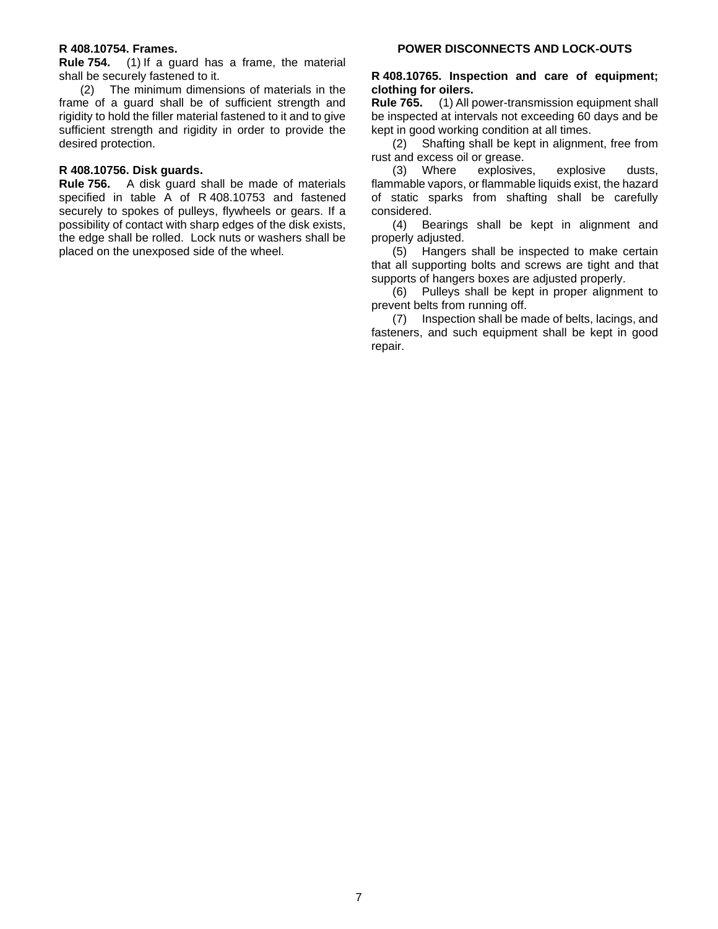#### <span id="page-6-0"></span>**R 408.10754. Frames.**

**Rule 754.** (1) If a guard has a frame, the material shall be securely fastened to it.

(2) The minimum dimensions of materials in the frame of a guard shall be of sufficient strength and rigidity to hold the filler material fastened to it and to give sufficient strength and rigidity in order to provide the desired protection.

#### <span id="page-6-1"></span>**R 408.10756. Disk guards.**

**Rule 756.** A disk guard shall be made of materials specified in table A of R 408.10753 and fastened securely to spokes of pulleys, flywheels or gears. If a possibility of contact with sharp edges of the disk exists, the edge shall be rolled. Lock nuts or washers shall be placed on the unexposed side of the wheel.

#### <span id="page-6-3"></span><span id="page-6-2"></span>**R 408.10765. Inspection and care of equipment; clothing for oilers.**

**Rule 765.** (1) All power-transmission equipment shall be inspected at intervals not exceeding 60 days and be kept in good working condition at all times.

(2) Shafting shall be kept in alignment, free from rust and excess oil or grease.

(3) Where explosives, explosive dusts, flammable vapors, or flammable liquids exist, the hazard of static sparks from shafting shall be carefully considered.

(4) Bearings shall be kept in alignment and properly adjusted.

(5) Hangers shall be inspected to make certain that all supporting bolts and screws are tight and that supports of hangers boxes are adjusted properly.

(6) Pulleys shall be kept in proper alignment to prevent belts from running off.

(7) Inspection shall be made of belts, lacings, and fasteners, and such equipment shall be kept in good repair.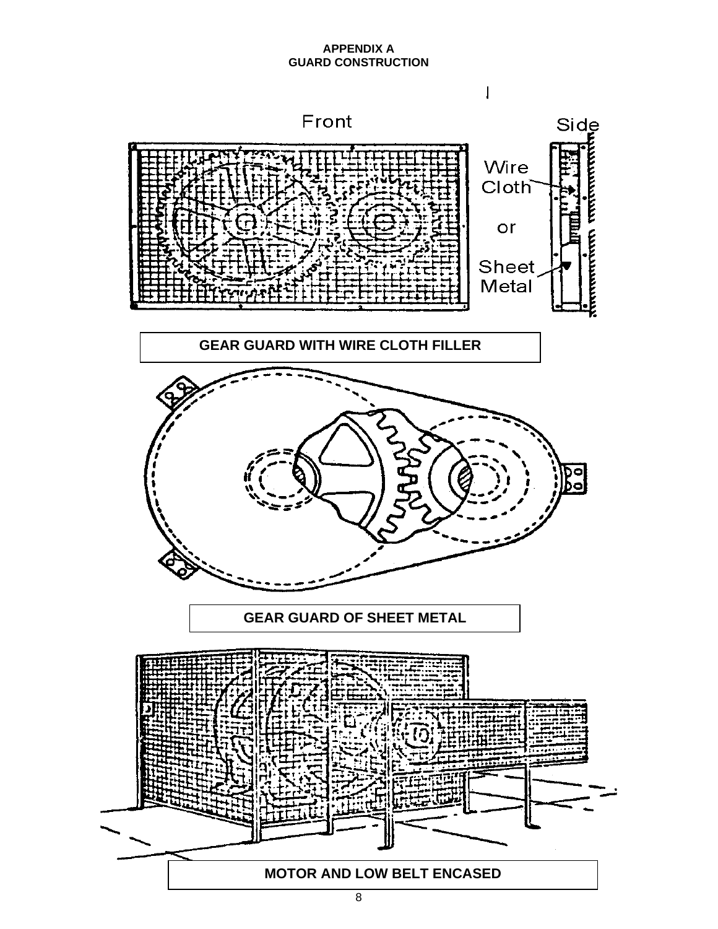# **APPENDIX A GUARD CONSTRUCTION**

<span id="page-7-0"></span>

8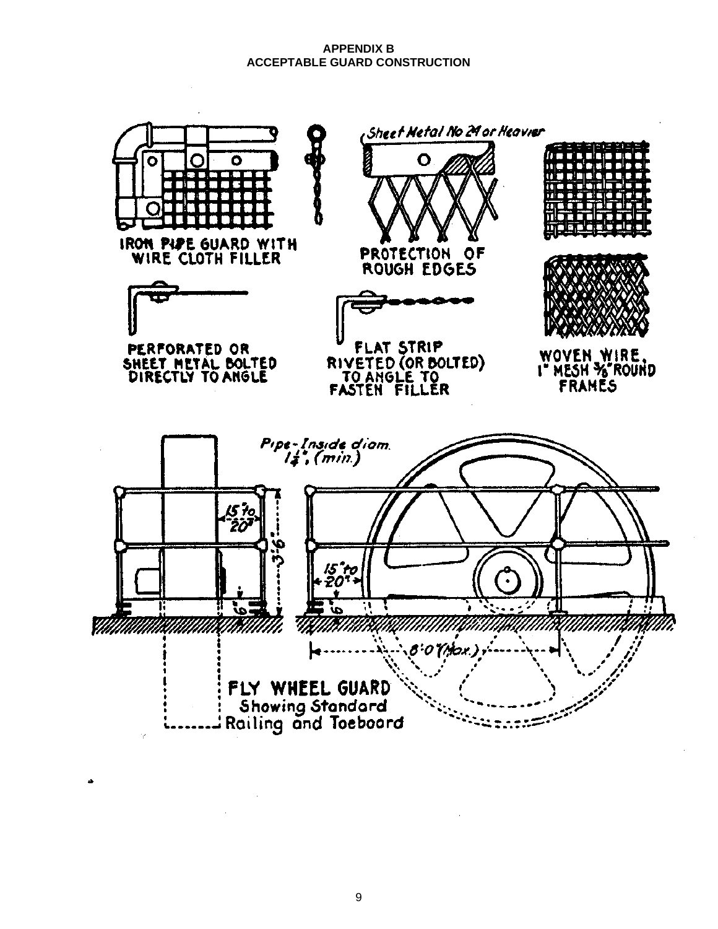#### **APPENDIX B ACCEPTABLE GUARD CONSTRUCTION**

<span id="page-8-0"></span>

9